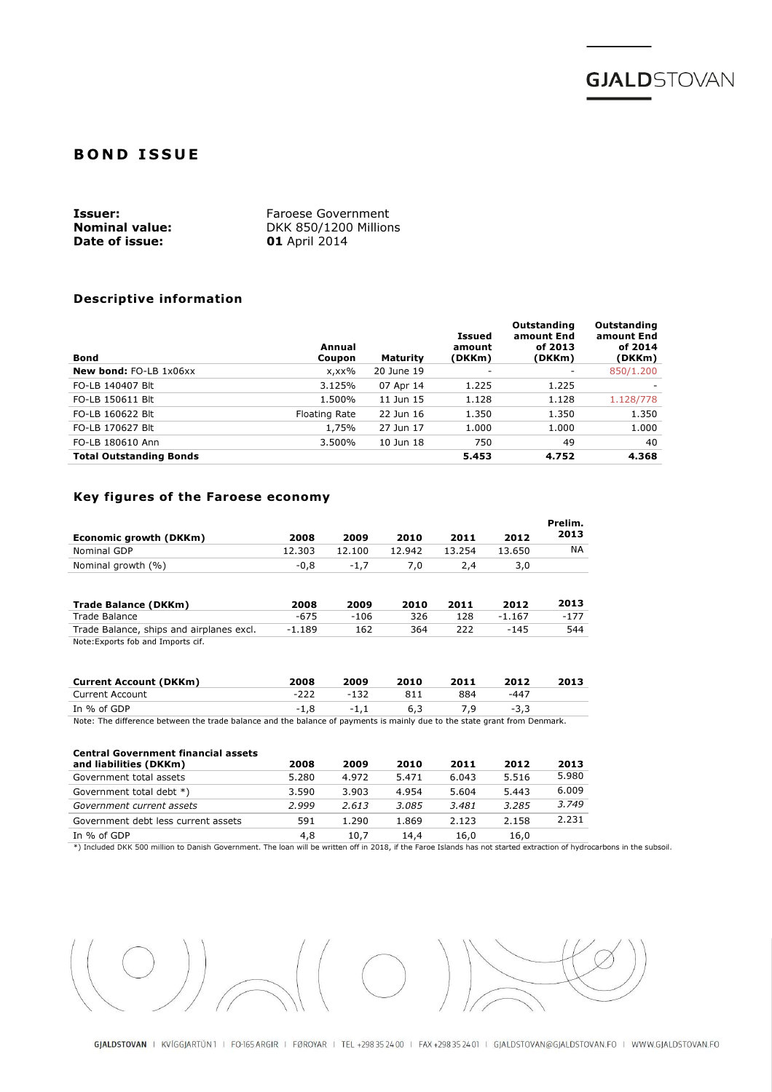

# **BOND ISSUE**

| Issuer:               | Faroese Government    |
|-----------------------|-----------------------|
| <b>Nominal value:</b> | DKK 850/1200 Millions |
| Date of issue:        | <b>01</b> April 2014  |

## Descriptive information

| <b>Bond</b>                    | Annual<br>Coupon | <b>Maturity</b> | Issued<br>amount<br>(DKKm) | <b>Outstanding</b><br>amount End<br>of 2013<br>(DKKm) | Outstanding<br>amount End<br>of 2014<br>(DKKm) |
|--------------------------------|------------------|-----------------|----------------------------|-------------------------------------------------------|------------------------------------------------|
| <b>New bond: FO-LB 1x06xx</b>  | x,xx%            | 20 June 19      |                            | ۰                                                     | 850/1.200                                      |
| FO-LB 140407 Blt               | 3.125%           | 07 Apr 14       | 1.225                      | 1.225                                                 |                                                |
| FO-LB 150611 Blt               | 1.500%           | 11 Jun 15       | 1.128                      | 1.128                                                 | 1.128/778                                      |
| FO-LB 160622 Blt               | Floating Rate    | 22 Jun 16       | 1.350                      | 1.350                                                 | 1.350                                          |
| FO-LB 170627 Blt               | 1,75%            | 27 Jun 17       | 1.000                      | 1.000                                                 | 1.000                                          |
| FO-LB 180610 Ann               | 3.500%           | 10 Jun 18       | 750                        | 49                                                    | 40                                             |
| <b>Total Outstanding Bonds</b> |                  |                 | 5.453                      | 4.752                                                 | 4.368                                          |

# Key figures of the Faroese economy

| Economic growth (DKKm) | 2008   | 2009   | 2010   | 2011   | 2012   | Prelim.<br>2013 |
|------------------------|--------|--------|--------|--------|--------|-----------------|
| Nominal GDP            | 12.303 | 12.100 | 12.942 | 13.254 | 13.650 | NA              |
| Nominal growth (%)     | $-0.8$ | $-1.7$ | 7.0    | 2.4    | 3,0    |                 |
|                        |        |        |        |        |        |                 |

| Trade Balance (DKKm)                     | 2008     | 2009 | 2010 | 2011 | 2012     | 2013 |
|------------------------------------------|----------|------|------|------|----------|------|
| Trade Balance                            | -675     | -106 | 326  | 128  | $-1.167$ | -177 |
| Trade Balance, ships and airplanes excl. | $-1.189$ | 162  | 364  |      | -145     | 544  |
| Note: Exports fob and Imports cif.       |          |      |      |      |          |      |

Note:Exports fob and Imports cif.

| <b>Current Account (DKKm)</b>                                                                                             | 2008   | 2009   | 2010 | 2011 | 2012   | 2013 |
|---------------------------------------------------------------------------------------------------------------------------|--------|--------|------|------|--------|------|
| Current Account                                                                                                           | -222   | $-132$ |      | 884  | -447   |      |
| In % of GDP                                                                                                               | $-1.8$ | $-1.1$ | 6.3  |      | $-3.3$ |      |
| Note: The difference between the trade balance and the balance of payments is mainly due to the state grant from Denmark. |        |        |      |      |        |      |

#### Central Government financial assets

| and liabilities (DKKm)              | 2008  | 2009  | 2010  | 2011  | 2012  | 2013  |
|-------------------------------------|-------|-------|-------|-------|-------|-------|
| Government total assets             | 5.280 | 4.972 | 5.471 | 6.043 | 5.516 | 5.980 |
| Government total debt *)            | 3.590 | 3.903 | 4.954 | 5.604 | 5.443 | 6.009 |
| Government current assets           | 2.999 | 2.613 | 3.085 | 3.481 | 3.285 | 3.749 |
| Government debt less current assets | 591   | 1.290 | 1.869 | 2.123 | 2.158 | 2.231 |
| In % of GDP                         | 4,8   | 10,7  | 14.4  | 16.0  | 16,0  |       |

\*) Included DKK 500 million to Danish Government. The loan will be written off in 2018, if the Faroe Islands has not started extraction of hydrocarbons in the subsoil.

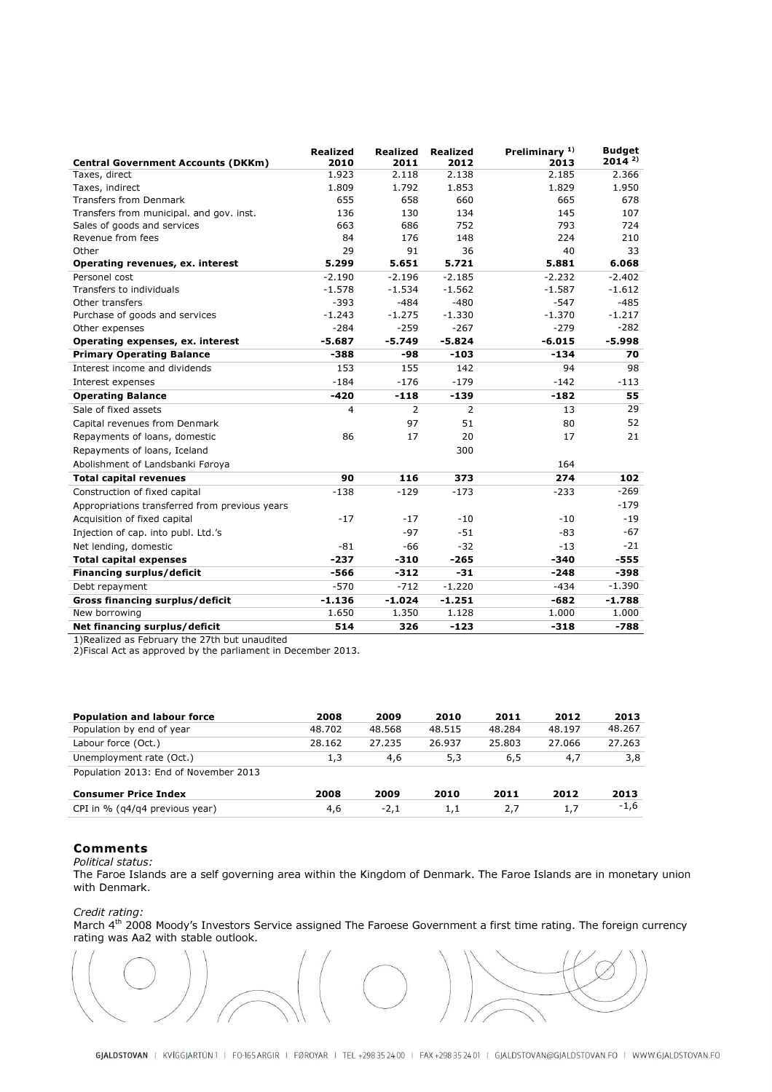| <b>Central Government Accounts (DKKm)</b>      | <b>Realized</b><br>2010 | <b>Realized</b><br>2011 | <b>Realized</b><br>2012 | Preliminary <sup>1)</sup><br>2013 | <b>Budaet</b><br>$2014^{2}$ |
|------------------------------------------------|-------------------------|-------------------------|-------------------------|-----------------------------------|-----------------------------|
| Taxes, direct                                  | 1.923                   | 2.118                   | 2.138                   | 2.185                             | 2.366                       |
| Taxes, indirect                                | 1.809                   | 1.792                   | 1.853                   | 1.829                             | 1.950                       |
| <b>Transfers from Denmark</b>                  | 655                     | 658                     | 660                     | 665                               | 678                         |
| Transfers from municipal. and gov. inst.       | 136                     | 130                     | 134                     | 145                               | 107                         |
| Sales of goods and services                    | 663                     | 686                     | 752                     | 793                               | 724                         |
| Revenue from fees                              | 84                      | 176                     | 148                     | 224                               | 210                         |
| Other                                          | 29                      | 91                      | 36                      | 40                                | 33                          |
| Operating revenues, ex. interest               | 5.299                   | 5.651                   | 5.721                   | 5.881                             | 6.068                       |
| Personel cost                                  | $-2.190$                | $-2.196$                | $-2.185$                | $-2.232$                          | $-2.402$                    |
| Transfers to individuals                       | $-1.578$                | $-1.534$                | $-1.562$                | $-1.587$                          | $-1.612$                    |
| Other transfers                                | $-393$                  | $-484$                  | $-480$                  | $-547$                            | $-485$                      |
| Purchase of goods and services                 | $-1.243$                | $-1.275$                | $-1.330$                | $-1.370$                          | $-1.217$                    |
| Other expenses                                 | $-284$                  | $-259$                  | $-267$                  | $-279$                            | $-282$                      |
| Operating expenses, ex. interest               | $-5.687$                | $-5.749$                | $-5.824$                | $-6.015$                          | $-5.998$                    |
| <b>Primary Operating Balance</b>               | -388                    | $-98$                   | $-103$                  | $-134$                            | 70                          |
| Interest income and dividends                  | 153                     | 155                     | 142                     | 94                                | 98                          |
| Interest expenses                              | $-184$                  | $-176$                  | $-179$                  | $-142$                            | $-113$                      |
| <b>Operating Balance</b>                       | $-420$                  | $-118$                  | $-139$                  | $-182$                            | 55                          |
| Sale of fixed assets                           | 4                       | $\overline{2}$          | 2                       | 13                                | 29                          |
| Capital revenues from Denmark                  |                         | 97                      | 51                      | 80                                | 52                          |
| Repayments of loans, domestic                  | 86                      | 17                      | 20                      | 17                                | 21                          |
| Repayments of loans, Iceland                   |                         |                         | 300                     |                                   |                             |
| Abolishment of Landsbanki Føroya               |                         |                         |                         | 164                               |                             |
| <b>Total capital revenues</b>                  | 90                      | 116                     | 373                     | 274                               | 102                         |
| Construction of fixed capital                  | $-138$                  | $-129$                  | $-173$                  | $-233$                            | $-269$                      |
| Appropriations transferred from previous years |                         |                         |                         |                                   | $-179$                      |
| Acquisition of fixed capital                   | $-17$                   | $-17$                   | $-10$                   | $-10$                             | $-19$                       |
| Injection of cap. into publ. Ltd.'s            |                         | $-97$                   | $-51$                   | -83                               | $-67$                       |
| Net lending, domestic                          | $-81$                   | $-66$                   | $-32$                   | $-13$                             | $-21$                       |
| <b>Total capital expenses</b>                  | $-237$                  | $-310$                  | $-265$                  | $-340$                            | $-555$                      |
| Financing surplus/deficit                      | $-566$                  | $-312$                  | $-31$                   | $-248$                            | $-398$                      |
| Debt repayment                                 | $-570$                  | $-712$                  | $-1.220$                | $-434$                            | $-1.390$                    |
| Gross financing surplus/deficit                | $-1.136$                | $-1.024$                | $-1.251$                | $-682$                            | $-1.788$                    |
| New borrowing                                  | 1.650                   | 1.350                   | 1.128                   | 1.000                             | 1.000                       |
| Net financing surplus/deficit                  | 514                     | 326                     | $-123$                  | $-318$                            | $-788$                      |

1)Realized as February the 27th but unaudited

2)Fiscal Act as approved by the parliament in December 2013.

| <b>Population and labour force</b>    | 2008   | 2009   | 2010   | 2011   | 2012   | 2013   |
|---------------------------------------|--------|--------|--------|--------|--------|--------|
| Population by end of year             | 48.702 | 48.568 | 48.515 | 48.284 | 48.197 | 48.267 |
| Labour force (Oct.)                   | 28.162 | 27.235 | 26.937 | 25.803 | 27.066 | 27.263 |
| Unemployment rate (Oct.)              | 1,3    | 4,6    | 5,3    | 6,5    | 4,7    | 3,8    |
| Population 2013: End of November 2013 |        |        |        |        |        |        |
| <b>Consumer Price Index</b>           | 2008   | 2009   | 2010   | 2011   | 2012   | 2013   |
| CPI in % $(q4/q4)$ previous year)     | 4,6    | $-2.1$ | 1,1    | 2.7    | 1,7    | $-1,6$ |

### Comments

Political status:

The Faroe Islands are a self governing area within the Kingdom of Denmark. The Faroe Islands are in monetary union with Denmark.

### Credit rating:

March 4<sup>th</sup> 2008 Moody's Investors Service assigned The Faroese Government a first time rating. The foreign currency rating was Aa2 with stable outlook.